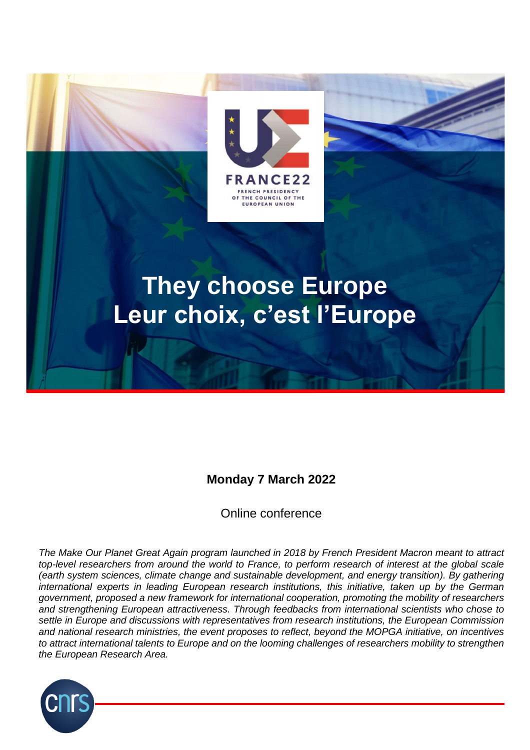

**Monday 7 March 2022**

Online conference

*The Make Our Planet Great Again program launched in 2018 by French President Macron meant to attract top-level researchers from around the world to France, to perform research of interest at the global scale (earth system sciences, climate change and sustainable development, and energy transition). By gathering international experts in leading European research institutions, this initiative, taken up by the German government, proposed a new framework for international cooperation, promoting the mobility of researchers and strengthening European attractiveness. Through feedbacks from international scientists who chose to settle in Europe and discussions with representatives from research institutions, the European Commission and national research ministries, the event proposes to reflect, beyond the MOPGA initiative, on incentives to attract international talents to Europe and on the looming challenges of researchers mobility to strengthen the European Research Area.*